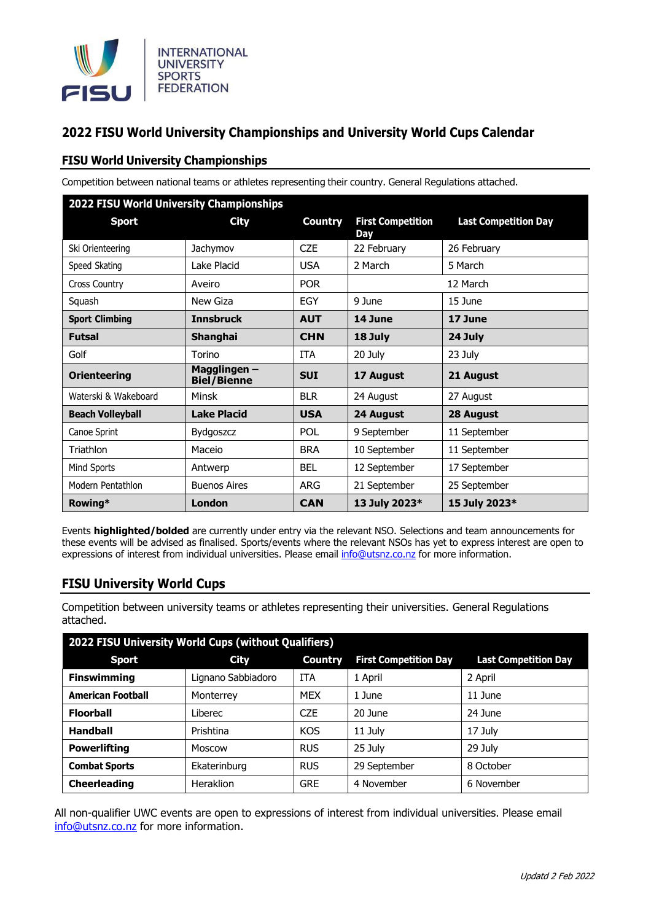

## **2022 FISU World University Championships and University World Cups Calendar**

## **FISU World University Championships**

Competition between national teams or athletes representing their country. General Regulations attached.

| 2022 FISU World University Championships |                                    |                |                                 |                             |  |  |  |  |
|------------------------------------------|------------------------------------|----------------|---------------------------------|-----------------------------|--|--|--|--|
| <b>Sport</b>                             | <b>City</b>                        | <b>Country</b> | <b>First Competition</b><br>Day | <b>Last Competition Day</b> |  |  |  |  |
| Ski Orienteering                         | Jachymov                           | <b>CZE</b>     | 22 February                     | 26 February                 |  |  |  |  |
| Speed Skating                            | Lake Placid                        | <b>USA</b>     | 2 March                         | 5 March                     |  |  |  |  |
| Cross Country                            | Aveiro                             | <b>POR</b>     |                                 | 12 March                    |  |  |  |  |
| Squash                                   | New Giza                           | <b>EGY</b>     | 9 June                          | 15 June                     |  |  |  |  |
| <b>Sport Climbing</b>                    | <b>Innsbruck</b>                   | <b>AUT</b>     | 14 June                         | 17 June                     |  |  |  |  |
| <b>Futsal</b>                            | Shanghai                           | <b>CHN</b>     | 18 July                         | 24 July                     |  |  |  |  |
| Golf                                     | Torino                             | <b>ITA</b>     | 20 July                         | 23 July                     |  |  |  |  |
| <b>Orienteering</b>                      | Magglingen –<br><b>Biel/Bienne</b> | <b>SUI</b>     | 17 August                       | 21 August                   |  |  |  |  |
| Waterski & Wakeboard                     | <b>Minsk</b>                       | <b>BLR</b>     | 24 August                       | 27 August                   |  |  |  |  |
| <b>Beach Volleyball</b>                  | <b>Lake Placid</b>                 | <b>USA</b>     | 24 August                       | 28 August                   |  |  |  |  |
| Canoe Sprint                             | Bydgoszcz                          | <b>POL</b>     | 9 September                     | 11 September                |  |  |  |  |
| <b>Triathlon</b>                         | Maceio                             | <b>BRA</b>     | 10 September                    | 11 September                |  |  |  |  |
| Mind Sports                              | Antwerp                            | <b>BEL</b>     | 12 September                    | 17 September                |  |  |  |  |
| Modern Pentathlon                        | <b>Buenos Aires</b>                | <b>ARG</b>     | 21 September                    | 25 September                |  |  |  |  |
| Rowing*                                  | London                             | <b>CAN</b>     | 13 July 2023*                   | 15 July 2023*               |  |  |  |  |

Events **highlighted/bolded** are currently under entry via the relevant NSO. Selections and team announcements for these events will be advised as finalised. Sports/events where the relevant NSOs has yet to express interest are open to expressions of interest from individual universities. Please email [info@utsnz.co.nz](mailto:info@utsnz.co.nz) for more information.

## **FISU University World Cups**

Competition between university teams or athletes representing their universities. General Regulations attached.

| 2022 FISU University World Cups (without Qualifiers) |                    |                |                              |                             |  |  |  |  |
|------------------------------------------------------|--------------------|----------------|------------------------------|-----------------------------|--|--|--|--|
| <b>Sport</b>                                         | <b>City</b>        | <b>Country</b> | <b>First Competition Day</b> | <b>Last Competition Day</b> |  |  |  |  |
| <b>Finswimming</b>                                   | Lignano Sabbiadoro | <b>ITA</b>     | 1 April                      | 2 April                     |  |  |  |  |
| <b>American Football</b>                             | Monterrey          | <b>MEX</b>     | 1 June                       | 11 June                     |  |  |  |  |
| <b>Floorball</b>                                     | Liberec            | <b>CZE</b>     | 20 June                      | 24 June                     |  |  |  |  |
| <b>Handball</b>                                      | Prishtina          | <b>KOS</b>     | 11 July                      | 17 July                     |  |  |  |  |
| <b>Powerlifting</b>                                  | Moscow             | <b>RUS</b>     | 25 July                      | 29 July                     |  |  |  |  |
| <b>Combat Sports</b>                                 | Ekaterinburg       | <b>RUS</b>     | 29 September                 | 8 October                   |  |  |  |  |
| <b>Cheerleading</b>                                  | Heraklion          | <b>GRE</b>     | 4 November                   | 6 November                  |  |  |  |  |

All non-qualifier UWC events are open to expressions of interest from individual universities. Please email [info@utsnz.co.nz](mailto:info@utsnz.co.nz) for more information.